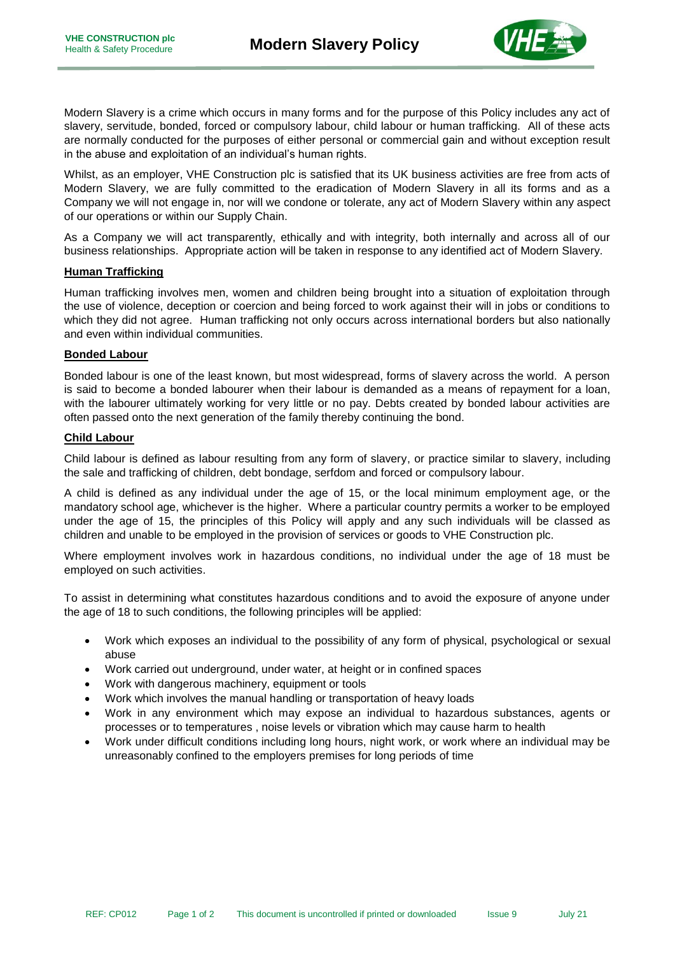

Modern Slavery is a crime which occurs in many forms and for the purpose of this Policy includes any act of slavery, servitude, bonded, forced or compulsory labour, child labour or human trafficking. All of these acts are normally conducted for the purposes of either personal or commercial gain and without exception result in the abuse and exploitation of an individual's human rights.

Whilst, as an employer, VHE Construction plc is satisfied that its UK business activities are free from acts of Modern Slavery, we are fully committed to the eradication of Modern Slavery in all its forms and as a Company we will not engage in, nor will we condone or tolerate, any act of Modern Slavery within any aspect of our operations or within our Supply Chain.

As a Company we will act transparently, ethically and with integrity, both internally and across all of our business relationships. Appropriate action will be taken in response to any identified act of Modern Slavery.

## **Human Trafficking**

Human trafficking involves men, women and children being brought into a situation of exploitation through the use of violence, deception or coercion and being forced to work against their will in jobs or conditions to which they did not agree. Human trafficking not only occurs across international borders but also nationally and even within individual communities.

## **Bonded Labour**

Bonded labour is one of the least known, but most widespread, forms of slavery across the world. A person is said to become a bonded labourer when their labour is demanded as a means of repayment for a loan, with the labourer ultimately working for very little or no pay. Debts created by bonded labour activities are often passed onto the next generation of the family thereby continuing the bond.

## **Child Labour**

Child labour is defined as labour resulting from any form of slavery, or practice similar to slavery, including the sale and trafficking of children, debt bondage, serfdom and forced or compulsory labour.

A child is defined as any individual under the age of 15, or the local minimum employment age, or the mandatory school age, whichever is the higher. Where a particular country permits a worker to be employed under the age of 15, the principles of this Policy will apply and any such individuals will be classed as children and unable to be employed in the provision of services or goods to VHE Construction plc.

Where employment involves work in hazardous conditions, no individual under the age of 18 must be employed on such activities.

To assist in determining what constitutes hazardous conditions and to avoid the exposure of anyone under the age of 18 to such conditions, the following principles will be applied:

- Work which exposes an individual to the possibility of any form of physical, psychological or sexual abuse
- Work carried out underground, under water, at height or in confined spaces
- Work with dangerous machinery, equipment or tools
- Work which involves the manual handling or transportation of heavy loads
- Work in any environment which may expose an individual to hazardous substances, agents or processes or to temperatures , noise levels or vibration which may cause harm to health
- Work under difficult conditions including long hours, night work, or work where an individual may be unreasonably confined to the employers premises for long periods of time